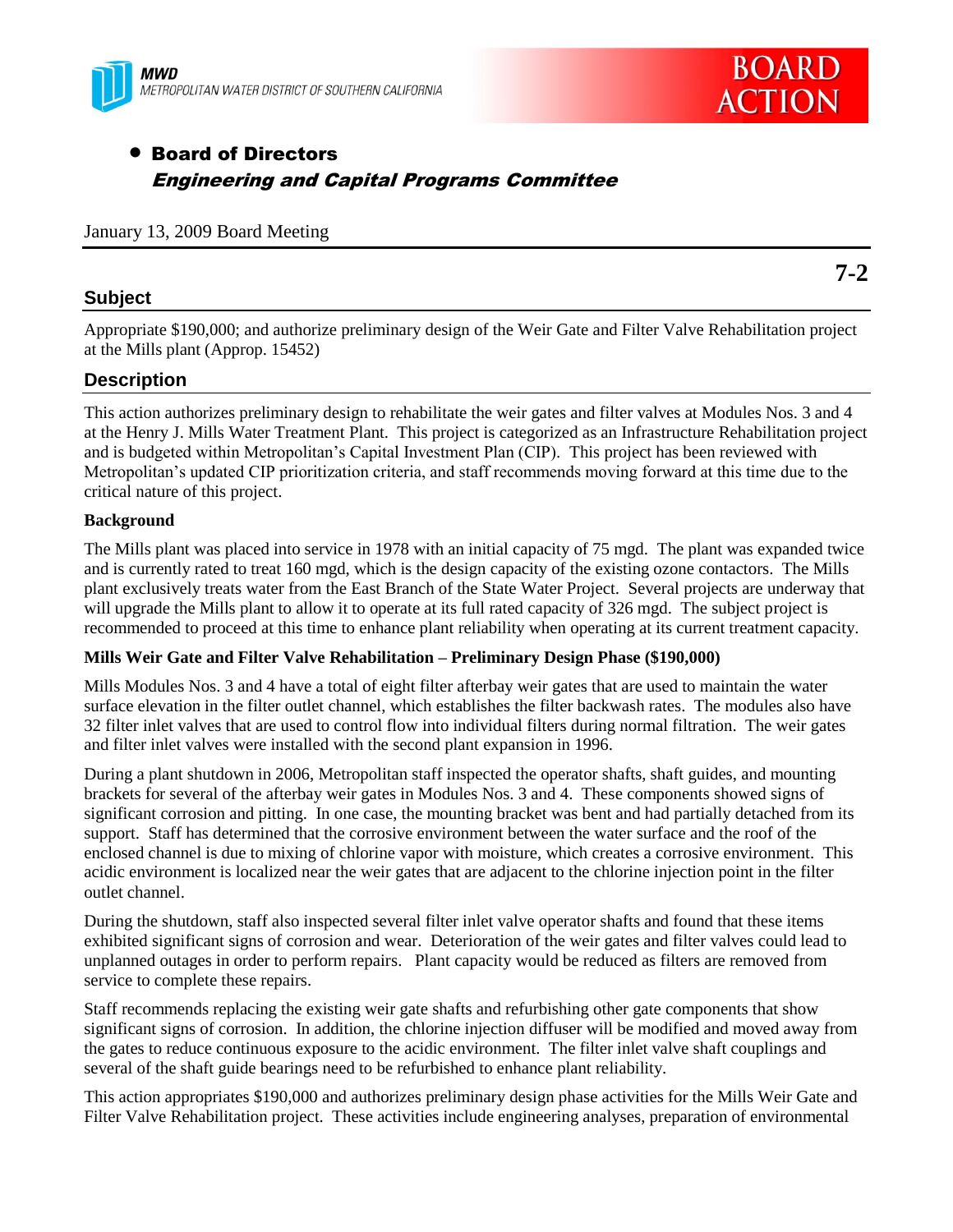



# Board of Directors Engineering and Capital Programs Committee

January 13, 2009 Board Meeting

#### **Subject**

Appropriate \$190,000; and authorize preliminary design of the Weir Gate and Filter Valve Rehabilitation project at the Mills plant (Approp. 15452)

### **Description**

This action authorizes preliminary design to rehabilitate the weir gates and filter valves at Modules Nos. 3 and 4 at the Henry J. Mills Water Treatment Plant. This project is categorized as an Infrastructure Rehabilitation project and is budgeted within Metropolitan's Capital Investment Plan (CIP). This project has been reviewed with Metropolitan's updated CIP prioritization criteria, and staff recommends moving forward at this time due to the critical nature of this project.

#### **Background**

The Mills plant was placed into service in 1978 with an initial capacity of 75 mgd. The plant was expanded twice and is currently rated to treat 160 mgd, which is the design capacity of the existing ozone contactors. The Mills plant exclusively treats water from the East Branch of the State Water Project. Several projects are underway that will upgrade the Mills plant to allow it to operate at its full rated capacity of 326 mgd. The subject project is recommended to proceed at this time to enhance plant reliability when operating at its current treatment capacity.

#### **Mills Weir Gate and Filter Valve Rehabilitation – Preliminary Design Phase (\$190,000)**

Mills Modules Nos. 3 and 4 have a total of eight filter afterbay weir gates that are used to maintain the water surface elevation in the filter outlet channel, which establishes the filter backwash rates. The modules also have 32 filter inlet valves that are used to control flow into individual filters during normal filtration. The weir gates and filter inlet valves were installed with the second plant expansion in 1996.

During a plant shutdown in 2006, Metropolitan staff inspected the operator shafts, shaft guides, and mounting brackets for several of the afterbay weir gates in Modules Nos. 3 and 4. These components showed signs of significant corrosion and pitting. In one case, the mounting bracket was bent and had partially detached from its support. Staff has determined that the corrosive environment between the water surface and the roof of the enclosed channel is due to mixing of chlorine vapor with moisture, which creates a corrosive environment. This acidic environment is localized near the weir gates that are adjacent to the chlorine injection point in the filter outlet channel.

During the shutdown, staff also inspected several filter inlet valve operator shafts and found that these items exhibited significant signs of corrosion and wear. Deterioration of the weir gates and filter valves could lead to unplanned outages in order to perform repairs. Plant capacity would be reduced as filters are removed from service to complete these repairs.

Staff recommends replacing the existing weir gate shafts and refurbishing other gate components that show significant signs of corrosion. In addition, the chlorine injection diffuser will be modified and moved away from the gates to reduce continuous exposure to the acidic environment. The filter inlet valve shaft couplings and several of the shaft guide bearings need to be refurbished to enhance plant reliability.

This action appropriates \$190,000 and authorizes preliminary design phase activities for the Mills Weir Gate and Filter Valve Rehabilitation project. These activities include engineering analyses, preparation of environmental

**7-2**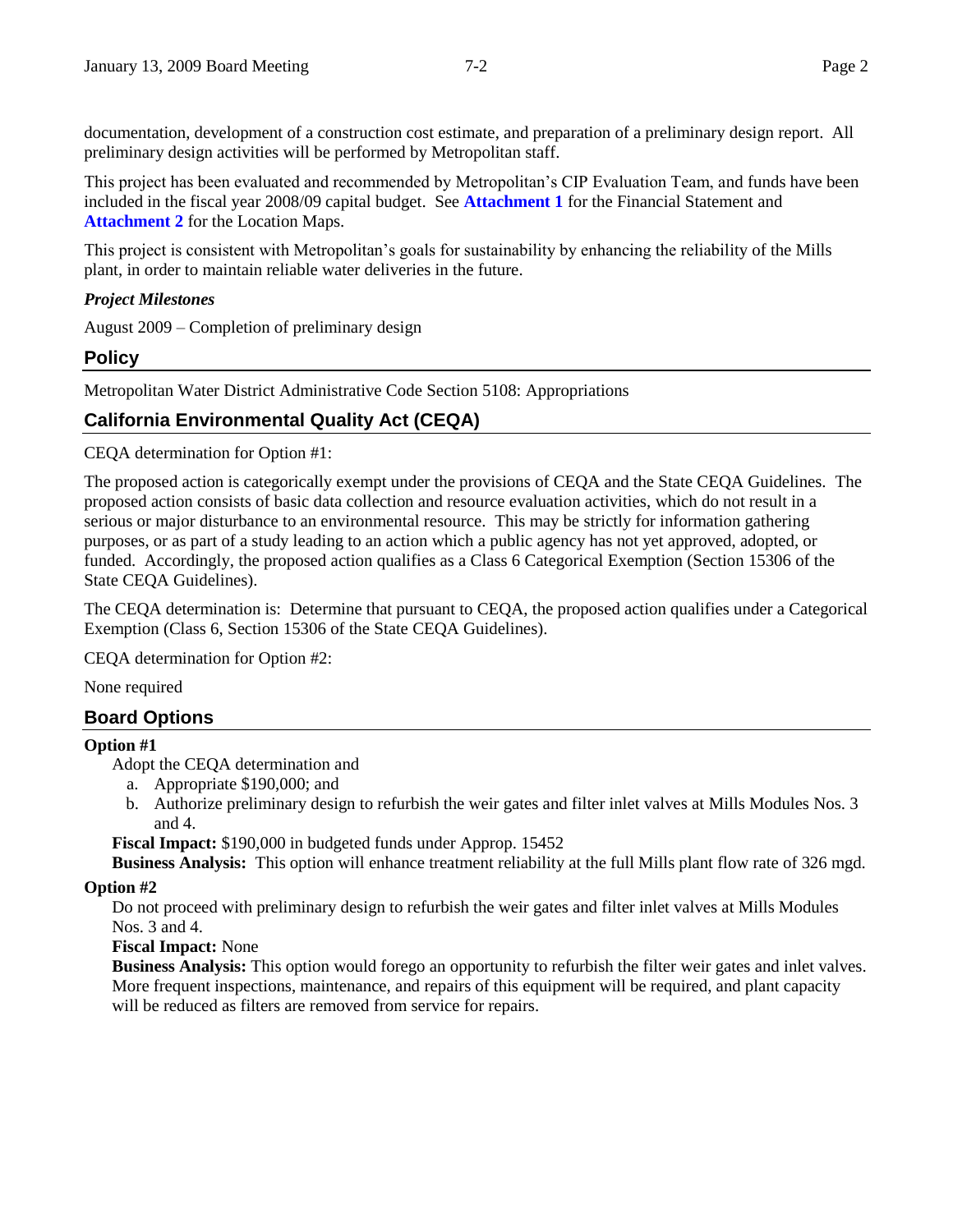documentation, development of a construction cost estimate, and preparation of a preliminary design report. All preliminary design activities will be performed by Metropolitan staff.

This project has been evaluated and recommended by Metropolitan's CIP Evaluation Team, and funds have been included in the fiscal year 2008/09 capital budget. See **Attachment 1** for the Financial Statement and **Attachment 2** for the Location Maps.

This project is consistent with Metropolitan's goals for sustainability by enhancing the reliability of the Mills plant, in order to maintain reliable water deliveries in the future.

#### *Project Milestones*

August 2009 – Completion of preliminary design

#### **Policy**

Metropolitan Water District Administrative Code Section 5108: Appropriations

# **California Environmental Quality Act (CEQA)**

CEQA determination for Option #1:

The proposed action is categorically exempt under the provisions of CEQA and the State CEQA Guidelines. The proposed action consists of basic data collection and resource evaluation activities, which do not result in a serious or major disturbance to an environmental resource. This may be strictly for information gathering purposes, or as part of a study leading to an action which a public agency has not yet approved, adopted, or funded. Accordingly, the proposed action qualifies as a Class 6 Categorical Exemption (Section 15306 of the State CEQA Guidelines).

The CEQA determination is: Determine that pursuant to CEQA, the proposed action qualifies under a Categorical Exemption (Class 6, Section 15306 of the State CEQA Guidelines).

CEQA determination for Option #2:

None required

#### **Board Options**

#### **Option #1**

Adopt the CEQA determination and

- a. Appropriate \$190,000; and
- b. Authorize preliminary design to refurbish the weir gates and filter inlet valves at Mills Modules Nos. 3 and 4.

**Fiscal Impact:** \$190,000 in budgeted funds under Approp. 15452

**Business Analysis:** This option will enhance treatment reliability at the full Mills plant flow rate of 326 mgd.

#### **Option #2**

Do not proceed with preliminary design to refurbish the weir gates and filter inlet valves at Mills Modules Nos. 3 and 4.

**Fiscal Impact:** None

**Business Analysis:** This option would forego an opportunity to refurbish the filter weir gates and inlet valves. More frequent inspections, maintenance, and repairs of this equipment will be required, and plant capacity will be reduced as filters are removed from service for repairs.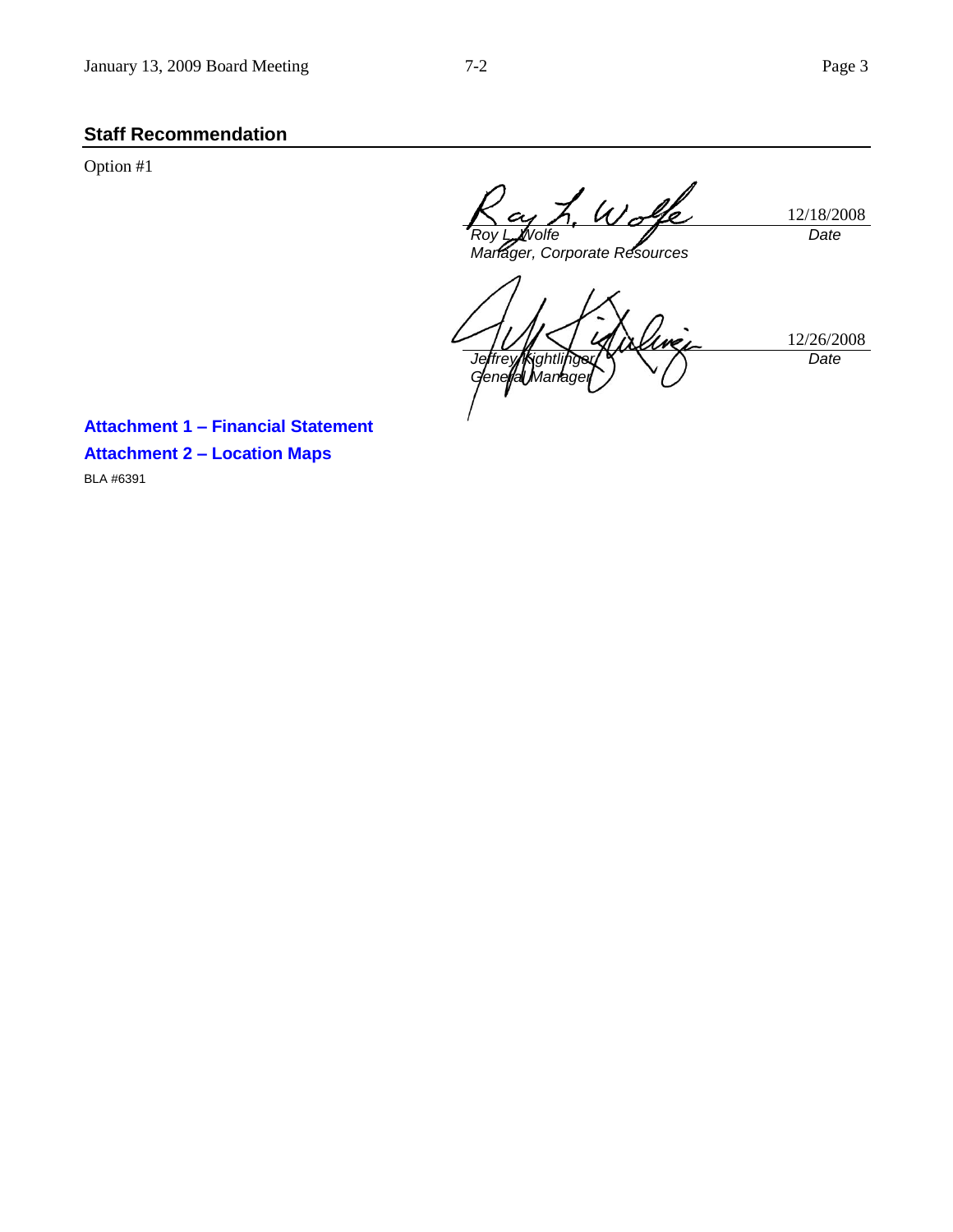# **Staff Recommendation**

Option #1

12/18/2008 *Roy L. Wolfe Date*

*Manager, Corporate Resources*

12/26/2008 *Jeffrey Kightlinger General Marrager Date*

**Attachment 1 – Financial Statement Attachment 2 – Location Maps** BLA #6391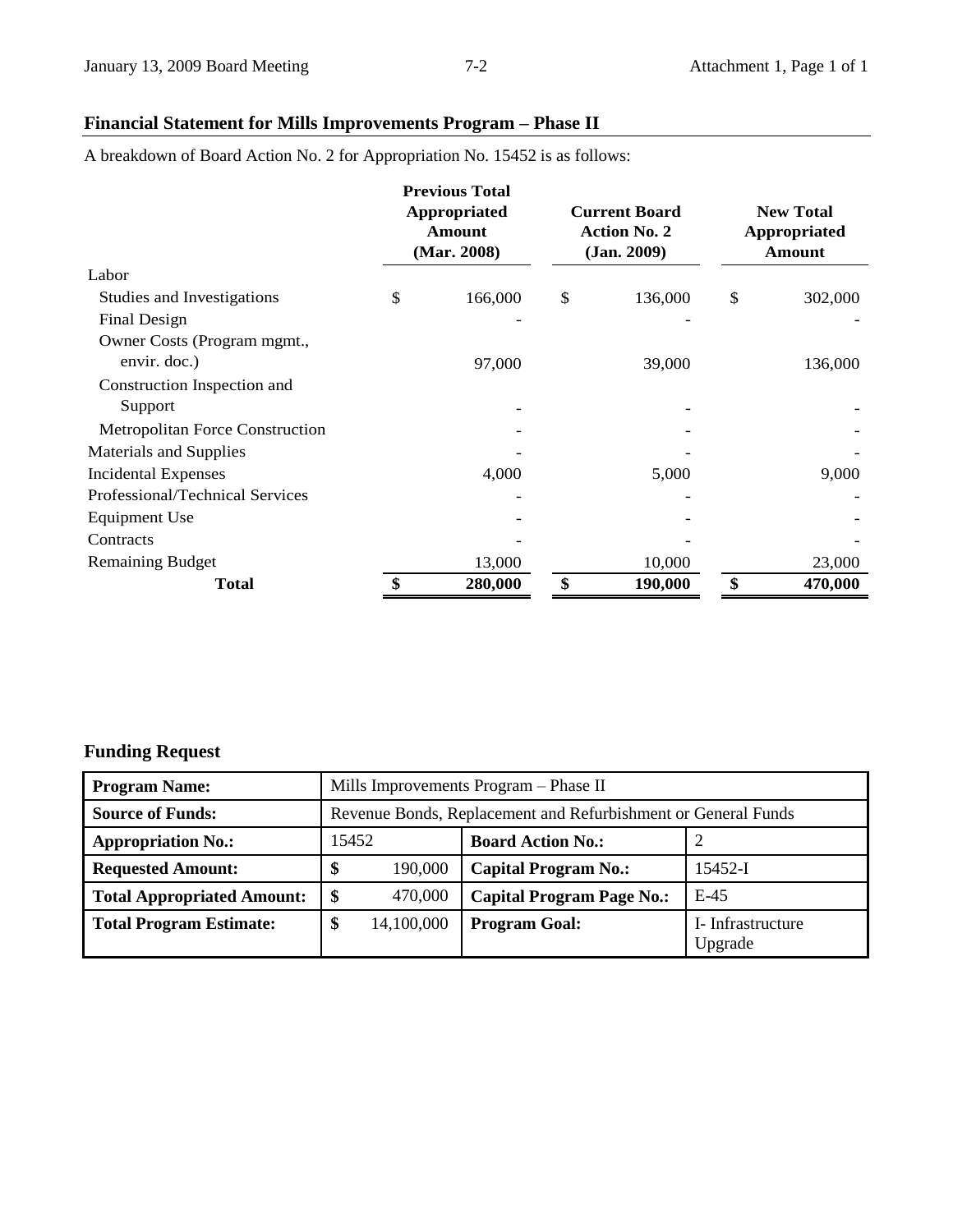# **Financial Statement for Mills Improvements Program – Phase II**

A breakdown of Board Action No. 2 for Appropriation No. 15452 is as follows:

|                                        | <b>Previous Total</b><br><b>Current Board</b><br>Appropriated<br><b>Action No. 2</b><br>Amount<br>(Mar. 2008)<br>(Jan. 2009) |    |         | <b>New Total</b><br><b>Appropriated</b><br>Amount |         |
|----------------------------------------|------------------------------------------------------------------------------------------------------------------------------|----|---------|---------------------------------------------------|---------|
| Labor                                  |                                                                                                                              |    |         |                                                   |         |
| Studies and Investigations             | \$<br>166,000                                                                                                                | \$ | 136,000 | \$                                                | 302,000 |
| Final Design                           |                                                                                                                              |    |         |                                                   |         |
| Owner Costs (Program mgmt.,            |                                                                                                                              |    |         |                                                   |         |
| envir. doc.)                           | 97,000                                                                                                                       |    | 39,000  |                                                   | 136,000 |
| Construction Inspection and            |                                                                                                                              |    |         |                                                   |         |
| Support                                |                                                                                                                              |    |         |                                                   |         |
| <b>Metropolitan Force Construction</b> |                                                                                                                              |    |         |                                                   |         |
| <b>Materials and Supplies</b>          |                                                                                                                              |    |         |                                                   |         |
| <b>Incidental Expenses</b>             | 4,000                                                                                                                        |    | 5,000   |                                                   | 9,000   |
| Professional/Technical Services        |                                                                                                                              |    |         |                                                   |         |
| Equipment Use                          |                                                                                                                              |    |         |                                                   |         |
| Contracts                              |                                                                                                                              |    |         |                                                   |         |
| <b>Remaining Budget</b>                | 13,000                                                                                                                       |    | 10,000  |                                                   | 23,000  |
| <b>Total</b>                           | \$<br>280,000                                                                                                                | \$ | 190,000 | \$                                                | 470,000 |

# **Funding Request**

| <b>Program Name:</b>              | Mills Improvements Program – Phase II                         |                                  |                              |  |  |  |
|-----------------------------------|---------------------------------------------------------------|----------------------------------|------------------------------|--|--|--|
| <b>Source of Funds:</b>           | Revenue Bonds, Replacement and Refurbishment or General Funds |                                  |                              |  |  |  |
| <b>Appropriation No.:</b>         | 15452                                                         | <b>Board Action No.:</b>         |                              |  |  |  |
| <b>Requested Amount:</b>          | 190,000<br>ъĐ                                                 | <b>Capital Program No.:</b>      | 15452-I                      |  |  |  |
| <b>Total Appropriated Amount:</b> | 470,000<br>\$                                                 | <b>Capital Program Page No.:</b> | $E-45$                       |  |  |  |
| <b>Total Program Estimate:</b>    | \$<br>14,100,000                                              | <b>Program Goal:</b>             | I- Infrastructure<br>Upgrade |  |  |  |